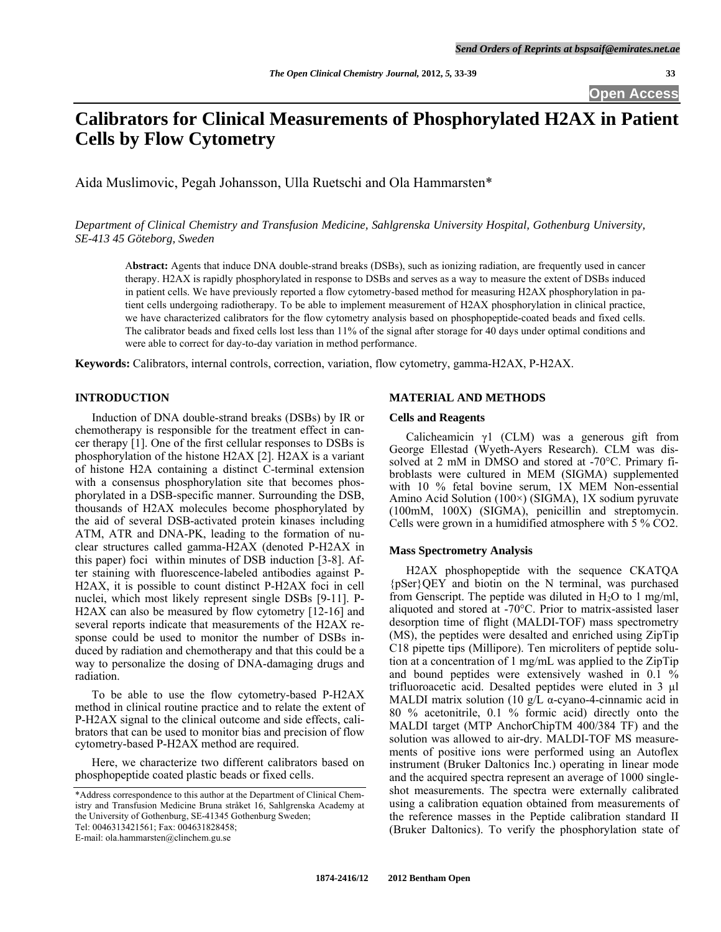**Open Access** 

# **Calibrators for Clinical Measurements of Phosphorylated H2AX in Patient Cells by Flow Cytometry**

Aida Muslimovic, Pegah Johansson, Ulla Ruetschi and Ola Hammarsten\*

*Department of Clinical Chemistry and Transfusion Medicine, Sahlgrenska University Hospital, Gothenburg University, SE-413 45 Göteborg, Sweden* 

A**bstract:** Agents that induce DNA double-strand breaks (DSBs), such as ionizing radiation, are frequently used in cancer therapy. H2AX is rapidly phosphorylated in response to DSBs and serves as a way to measure the extent of DSBs induced in patient cells. We have previously reported a flow cytometry-based method for measuring H2AX phosphorylation in patient cells undergoing radiotherapy. To be able to implement measurement of H2AX phosphorylation in clinical practice, we have characterized calibrators for the flow cytometry analysis based on phosphopeptide-coated beads and fixed cells. The calibrator beads and fixed cells lost less than 11% of the signal after storage for 40 days under optimal conditions and were able to correct for day-to-day variation in method performance.

**Keywords:** Calibrators, internal controls, correction, variation, flow cytometry, gamma-H2AX, P-H2AX.

# **INTRODUCTION**

 Induction of DNA double-strand breaks (DSBs) by IR or chemotherapy is responsible for the treatment effect in cancer therapy [1]. One of the first cellular responses to DSBs is phosphorylation of the histone H2AX [2]. H2AX is a variant of histone H2A containing a distinct C-terminal extension with a consensus phosphorylation site that becomes phosphorylated in a DSB-specific manner. Surrounding the DSB, thousands of H2AX molecules become phosphorylated by the aid of several DSB-activated protein kinases including ATM, ATR and DNA-PK, leading to the formation of nuclear structures called gamma-H2AX (denoted P-H2AX in this paper) foci within minutes of DSB induction [3-8]. After staining with fluorescence-labeled antibodies against P-H2AX, it is possible to count distinct P-H2AX foci in cell nuclei, which most likely represent single DSBs [9-11]. P-H2AX can also be measured by flow cytometry [12-16] and several reports indicate that measurements of the H2AX response could be used to monitor the number of DSBs induced by radiation and chemotherapy and that this could be a way to personalize the dosing of DNA-damaging drugs and radiation.

 To be able to use the flow cytometry-based P-H2AX method in clinical routine practice and to relate the extent of P-H2AX signal to the clinical outcome and side effects, calibrators that can be used to monitor bias and precision of flow cytometry-based P-H2AX method are required.

 Here, we characterize two different calibrators based on phosphopeptide coated plastic beads or fixed cells.

# **MATERIAL AND METHODS**

#### **Cells and Reagents**

Calicheamicin  $\gamma$ 1 (CLM) was a generous gift from George Ellestad (Wyeth-Ayers Research). CLM was dissolved at 2 mM in DMSO and stored at -70°C. Primary fibroblasts were cultured in MEM (SIGMA) supplemented with 10 % fetal bovine serum, 1X MEM Non-essential Amino Acid Solution (100×) (SIGMA), 1X sodium pyruvate (100mM, 100X) (SIGMA), penicillin and streptomycin. Cells were grown in a humidified atmosphere with 5 % CO2.

# **Mass Spectrometry Analysis**

 H2AX phosphopeptide with the sequence CKATQA {pSer}QEY and biotin on the N terminal, was purchased from Genscript. The peptide was diluted in  $H_2O$  to 1 mg/ml, aliquoted and stored at -70°C. Prior to matrix-assisted laser desorption time of flight (MALDI-TOF) mass spectrometry (MS), the peptides were desalted and enriched using ZipTip C18 pipette tips (Millipore). Ten microliters of peptide solution at a concentration of 1 mg/mL was applied to the ZipTip and bound peptides were extensively washed in 0.1 % trifluoroacetic acid. Desalted peptides were eluted in 3 µl MALDI matrix solution (10 g/L  $\alpha$ -cyano-4-cinnamic acid in 80 % acetonitrile, 0.1 % formic acid) directly onto the MALDI target (MTP AnchorChipTM 400/384 TF) and the solution was allowed to air-dry. MALDI-TOF MS measurements of positive ions were performed using an Autoflex instrument (Bruker Daltonics Inc.) operating in linear mode and the acquired spectra represent an average of 1000 singleshot measurements. The spectra were externally calibrated using a calibration equation obtained from measurements of the reference masses in the Peptide calibration standard II (Bruker Daltonics). To verify the phosphorylation state of

<sup>\*</sup>Address correspondence to this author at the Department of Clinical Chemistry and Transfusion Medicine Bruna stråket 16, Sahlgrenska Academy at the University of Gothenburg, SE-41345 Gothenburg Sweden; Tel: 0046313421561; Fax: 004631828458;

E-mail: ola.hammarsten@clinchem.gu.se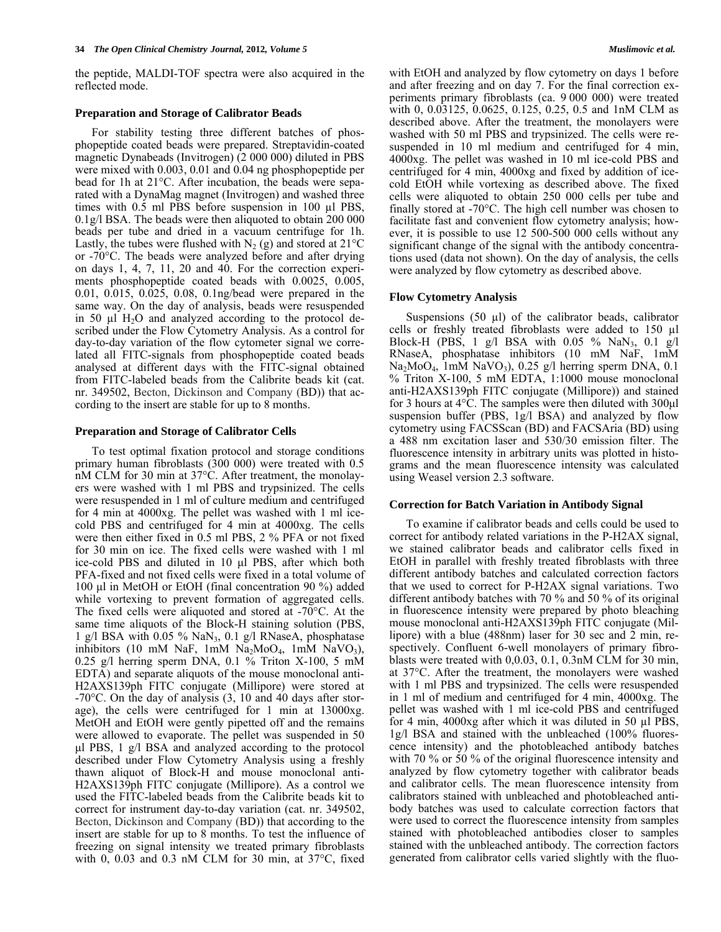the peptide, MALDI-TOF spectra were also acquired in the reflected mode.

#### **Preparation and Storage of Calibrator Beads**

 For stability testing three different batches of phosphopeptide coated beads were prepared. Streptavidin-coated magnetic Dynabeads (Invitrogen) (2 000 000) diluted in PBS were mixed with 0.003, 0.01 and 0.04 ng phosphopeptide per bead for 1h at 21°C. After incubation, the beads were separated with a DynaMag magnet (Invitrogen) and washed three times with 0.5 ml PBS before suspension in 100 µl PBS, 0.1g/l BSA. The beads were then aliquoted to obtain 200 000 beads per tube and dried in a vacuum centrifuge for 1h. Lastly, the tubes were flushed with  $N_2$  (g) and stored at 21<sup>o</sup>C or -70°C. The beads were analyzed before and after drying on days 1, 4, 7, 11, 20 and 40. For the correction experiments phosphopeptide coated beads with 0.0025, 0.005, 0.01, 0.015, 0.025, 0.08, 0.1ng/bead were prepared in the same way. On the day of analysis, beads were resuspended in 50  $\mu$ l H<sub>2</sub>O and analyzed according to the protocol described under the Flow Cytometry Analysis. As a control for day-to-day variation of the flow cytometer signal we correlated all FITC-signals from phosphopeptide coated beads analysed at different days with the FITC-signal obtained from FITC-labeled beads from the Calibrite beads kit (cat. nr. 349502, Becton, Dickinson and Company (BD)) that according to the insert are stable for up to 8 months.

# **Preparation and Storage of Calibrator Cells**

 To test optimal fixation protocol and storage conditions primary human fibroblasts (300 000) were treated with 0.5 nM CLM for 30 min at 37°C. After treatment, the monolayers were washed with 1 ml PBS and trypsinized. The cells were resuspended in 1 ml of culture medium and centrifuged for 4 min at 4000xg. The pellet was washed with 1 ml icecold PBS and centrifuged for 4 min at 4000xg. The cells were then either fixed in 0.5 ml PBS, 2 % PFA or not fixed for 30 min on ice. The fixed cells were washed with 1 ml ice-cold PBS and diluted in 10 μl PBS, after which both PFA-fixed and not fixed cells were fixed in a total volume of 100 μl in MetOH or EtOH (final concentration 90 %) added while vortexing to prevent formation of aggregated cells. The fixed cells were aliquoted and stored at -70°C. At the same time aliquots of the Block-H staining solution (PBS, 1 g/l BSA with 0.05 % NaN<sub>3</sub>, 0.1 g/l RNaseA, phosphatase inhibitors (10 mM NaF, 1mM Na<sub>2</sub>MoO<sub>4</sub>, 1mM NaVO<sub>3</sub>), 0.25 g/l herring sperm DNA, 0.1 % Triton X-100, 5 mM EDTA) and separate aliquots of the mouse monoclonal anti-H2AXS139ph FITC conjugate (Millipore) were stored at -70°C. On the day of analysis (3, 10 and 40 days after storage), the cells were centrifuged for 1 min at 13000xg. MetOH and EtOH were gently pipetted off and the remains were allowed to evaporate. The pellet was suspended in 50 μl PBS, 1 g/l BSA and analyzed according to the protocol described under Flow Cytometry Analysis using a freshly thawn aliquot of Block-H and mouse monoclonal anti-H2AXS139ph FITC conjugate (Millipore). As a control we used the FITC-labeled beads from the Calibrite beads kit to correct for instrument day-to-day variation (cat. nr. 349502, Becton, Dickinson and Company (BD)) that according to the insert are stable for up to 8 months. To test the influence of freezing on signal intensity we treated primary fibroblasts with 0, 0.03 and 0.3 nM CLM for 30 min, at 37°C, fixed with EtOH and analyzed by flow cytometry on days 1 before and after freezing and on day 7. For the final correction experiments primary fibroblasts (ca. 9 000 000) were treated with 0, 0.03125, 0.0625, 0.125, 0.25, 0.5 and 1nM CLM as described above. After the treatment, the monolayers were washed with 50 ml PBS and trypsinized. The cells were resuspended in 10 ml medium and centrifuged for 4 min, 4000xg. The pellet was washed in 10 ml ice-cold PBS and centrifuged for 4 min, 4000xg and fixed by addition of icecold EtOH while vortexing as described above. The fixed cells were aliquoted to obtain 250 000 cells per tube and finally stored at -70°C. The high cell number was chosen to facilitate fast and convenient flow cytometry analysis; however, it is possible to use 12 500-500 000 cells without any significant change of the signal with the antibody concentrations used (data not shown). On the day of analysis, the cells were analyzed by flow cytometry as described above.

# **Flow Cytometry Analysis**

Suspensions  $(50 \text{ µl})$  of the calibrator beads, calibrator cells or freshly treated fibroblasts were added to 150 µl Block-H (PBS, 1 g/l BSA with  $0.05 \%$  NaN<sub>3</sub>,  $0.1$  g/l RNaseA, phosphatase inhibitors (10 mM NaF, 1mM  $Na<sub>2</sub>MoO<sub>4</sub>$ , 1mM NaVO<sub>3</sub>), 0.25 g/l herring sperm DNA, 0.1 % Triton X-100, 5 mM EDTA, 1:1000 mouse monoclonal anti-H2AXS139ph FITC conjugate (Millipore)) and stained for 3 hours at 4°C. The samples were then diluted with 300μl suspension buffer (PBS, 1g/l BSA) and analyzed by flow cytometry using FACSScan (BD) and FACSAria (BD) using a 488 nm excitation laser and 530/30 emission filter. The fluorescence intensity in arbitrary units was plotted in histograms and the mean fluorescence intensity was calculated using Weasel version 2.3 software.

#### **Correction for Batch Variation in Antibody Signal**

 To examine if calibrator beads and cells could be used to correct for antibody related variations in the P-H2AX signal, we stained calibrator beads and calibrator cells fixed in EtOH in parallel with freshly treated fibroblasts with three different antibody batches and calculated correction factors that we used to correct for P-H2AX signal variations. Two different antibody batches with 70 % and 50 % of its original in fluorescence intensity were prepared by photo bleaching mouse monoclonal anti-H2AXS139ph FITC conjugate (Millipore) with a blue (488nm) laser for 30 sec and 2 min, respectively. Confluent 6-well monolayers of primary fibroblasts were treated with 0,0.03, 0.1, 0.3nM CLM for 30 min, at 37°C. After the treatment, the monolayers were washed with 1 ml PBS and trypsinized. The cells were resuspended in 1 ml of medium and centrifuged for 4 min, 4000xg. The pellet was washed with 1 ml ice-cold PBS and centrifuged for 4 min, 4000xg after which it was diluted in 50 µl PBS, 1g/l BSA and stained with the unbleached (100% fluorescence intensity) and the photobleached antibody batches with 70 % or 50 % of the original fluorescence intensity and analyzed by flow cytometry together with calibrator beads and calibrator cells. The mean fluorescence intensity from calibrators stained with unbleached and photobleached antibody batches was used to calculate correction factors that were used to correct the fluorescence intensity from samples stained with photobleached antibodies closer to samples stained with the unbleached antibody. The correction factors generated from calibrator cells varied slightly with the fluo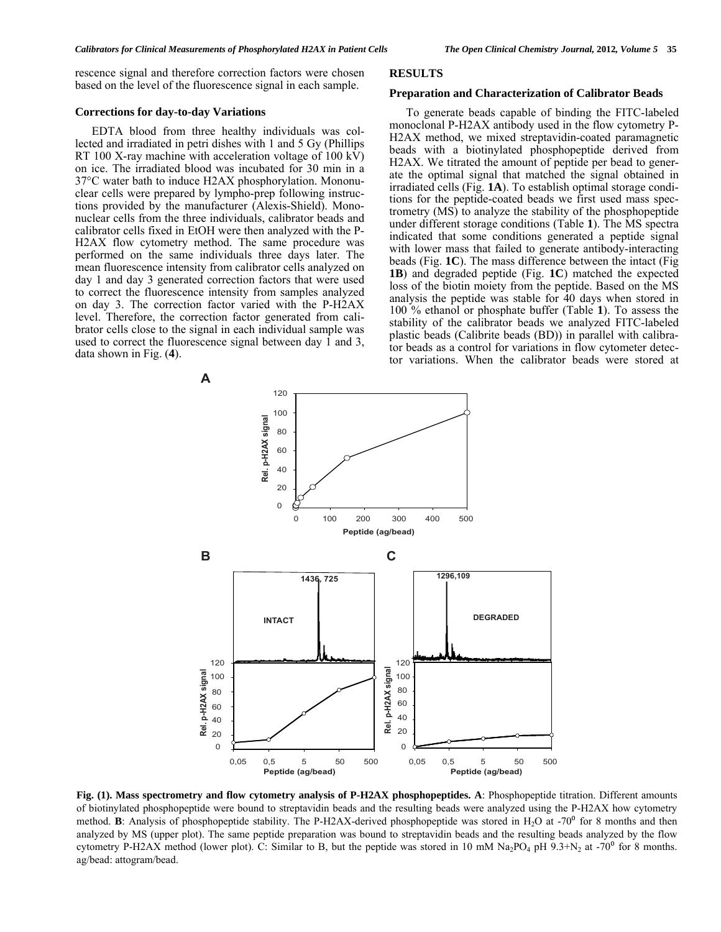rescence signal and therefore correction factors were chosen based on the level of the fluorescence signal in each sample.

# **Corrections for day-to-day Variations**

# EDTA blood from three healthy individuals was collected and irradiated in petri dishes with 1 and 5 Gy (Phillips RT 100 X-ray machine with acceleration voltage of 100 kV) on ice. The irradiated blood was incubated for 30 min in a 37°C water bath to induce H2AX phosphorylation. Mononuclear cells were prepared by lympho-prep following instructions provided by the manufacturer (Alexis-Shield). Mononuclear cells from the three individuals, calibrator beads and calibrator cells fixed in EtOH were then analyzed with the P-H2AX flow cytometry method. The same procedure was performed on the same individuals three days later. The mean fluorescence intensity from calibrator cells analyzed on day 1 and day 3 generated correction factors that were used to correct the fluorescence intensity from samples analyzed on day 3. The correction factor varied with the P-H2AX level. Therefore, the correction factor generated from calibrator cells close to the signal in each individual sample was used to correct the fluorescence signal between day  $\overline{1}$  and 3, data shown in Fig. (**4**).

# **RESULTS**

#### **Preparation and Characterization of Calibrator Beads**

 To generate beads capable of binding the FITC-labeled monoclonal P-H2AX antibody used in the flow cytometry P-H2AX method, we mixed streptavidin-coated paramagnetic beads with a biotinylated phosphopeptide derived from H2AX. We titrated the amount of peptide per bead to generate the optimal signal that matched the signal obtained in irradiated cells (Fig. **1A**). To establish optimal storage conditions for the peptide-coated beads we first used mass spectrometry (MS) to analyze the stability of the phosphopeptide under different storage conditions (Table **1**). The MS spectra indicated that some conditions generated a peptide signal with lower mass that failed to generate antibody-interacting beads (Fig. **1C**). The mass difference between the intact (Fig **1B**) and degraded peptide (Fig. **1C**) matched the expected loss of the biotin moiety from the peptide. Based on the MS analysis the peptide was stable for 40 days when stored in 100 % ethanol or phosphate buffer (Table **1**). To assess the stability of the calibrator beads we analyzed FITC-labeled plastic beads (Calibrite beads (BD)) in parallel with calibrator beads as a control for variations in flow cytometer detector variations. When the calibrator beads were stored at



**Fig. (1). Mass spectrometry and flow cytometry analysis of P-H2AX phosphopeptides. A**: Phosphopeptide titration. Different amounts of biotinylated phosphopeptide were bound to streptavidin beads and the resulting beads were analyzed using the P-H2AX how cytometry method. **B**: Analysis of phosphopeptide stability. The P-H2AX-derived phosphopeptide was stored in H<sub>2</sub>O at -70<sup>o</sup> for 8 months and then analyzed by MS (upper plot). The same peptide preparation was bound to streptavidin beads and the resulting beads analyzed by the flow cytometry P-H2AX method (lower plot). C: Similar to B, but the peptide was stored in 10 mM Na<sub>2</sub>PO<sub>4</sub> pH 9.3+N<sub>2</sub> at -70<sup>0</sup> for 8 months. ag/bead: attogram/bead.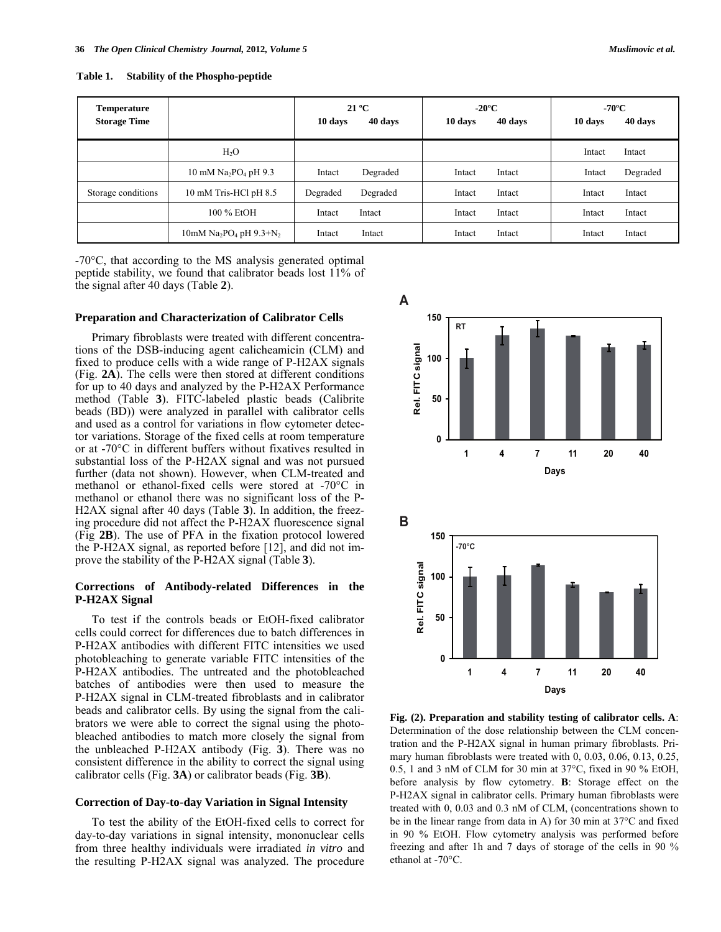**Table 1. Stability of the Phospho-peptide** 

| <b>Temperature</b><br><b>Storage Time</b> |                                                     | 10 days  | $21^{\circ}$ C<br>40 days | $-20^{\circ}$ C<br>10 days | 40 days | $-70^{\circ}$ C<br>10 days | 40 days  |
|-------------------------------------------|-----------------------------------------------------|----------|---------------------------|----------------------------|---------|----------------------------|----------|
|                                           | $H_2O$                                              |          |                           |                            |         | Intact                     | Intact   |
|                                           | 10 mM $Na2PO4 pH 9.3$                               | Intact   | Degraded                  | Intact                     | Intact  | Intact                     | Degraded |
| Storage conditions                        | 10 mM Tris-HCl pH 8.5                               | Degraded | Degraded                  | Intact                     | Intact  | Intact                     | Intact   |
|                                           | 100 % EtOH                                          | Intact   | Intact                    | Intact                     | Intact  | Intact                     | Intact   |
|                                           | 10mM Na <sub>2</sub> PO <sub>4</sub> pH $9.3 + N_2$ | Intact   | Intact                    | Intact                     | Intact  | Intact                     | Intact   |

**A**

**Rel. FIT C signal**

**0**

-70°C, that according to the MS analysis generated optimal peptide stability, we found that calibrator beads lost 11% of the signal after 40 days (Table **2**).

#### **Preparation and Characterization of Calibrator Cells**

 Primary fibroblasts were treated with different concentrations of the DSB-inducing agent calicheamicin (CLM) and fixed to produce cells with a wide range of P-H2AX signals (Fig. **2A**). The cells were then stored at different conditions for up to 40 days and analyzed by the P-H2AX Performance method (Table **3**). FITC-labeled plastic beads (Calibrite beads (BD)) were analyzed in parallel with calibrator cells and used as a control for variations in flow cytometer detector variations. Storage of the fixed cells at room temperature or at -70°C in different buffers without fixatives resulted in substantial loss of the P-H2AX signal and was not pursued further (data not shown). However, when CLM-treated and methanol or ethanol-fixed cells were stored at -70°C in methanol or ethanol there was no significant loss of the P-H2AX signal after 40 days (Table **3**). In addition, the freezing procedure did not affect the P-H2AX fluorescence signal (Fig **2B**). The use of PFA in the fixation protocol lowered the P-H2AX signal, as reported before [12], and did not improve the stability of the P-H2AX signal (Table **3**).

# **Corrections of Antibody-related Differences in the P-H2AX Signal**

 To test if the controls beads or EtOH-fixed calibrator cells could correct for differences due to batch differences in P-H2AX antibodies with different FITC intensities we used photobleaching to generate variable FITC intensities of the P-H2AX antibodies. The untreated and the photobleached batches of antibodies were then used to measure the P-H2AX signal in CLM-treated fibroblasts and in calibrator beads and calibrator cells. By using the signal from the calibrators we were able to correct the signal using the photobleached antibodies to match more closely the signal from the unbleached P-H2AX antibody (Fig. **3**). There was no consistent difference in the ability to correct the signal using calibrator cells (Fig. **3A**) or calibrator beads (Fig. **3B**).

## **Correction of Day-to-day Variation in Signal Intensity**

 To test the ability of the EtOH-fixed cells to correct for day-to-day variations in signal intensity, mononuclear cells from three healthy individuals were irradiated *in vitro* and the resulting P-H2AX signal was analyzed. The procedure



**1 4 7 11 20 40**

**Days**



**Fig. (2). Preparation and stability testing of calibrator cells. A**: Determination of the dose relationship between the CLM concentration and the P-H2AX signal in human primary fibroblasts. Primary human fibroblasts were treated with 0, 0.03, 0.06, 0.13, 0.25, 0.5, 1 and 3 nM of CLM for 30 min at 37°C, fixed in 90 % EtOH, before analysis by flow cytometry. **B**: Storage effect on the P-H2AX signal in calibrator cells. Primary human fibroblasts were treated with 0, 0.03 and 0.3 nM of CLM, (concentrations shown to be in the linear range from data in A) for 30 min at 37°C and fixed in 90 % EtOH. Flow cytometry analysis was performed before freezing and after 1h and 7 days of storage of the cells in 90 % ethanol at -70°C.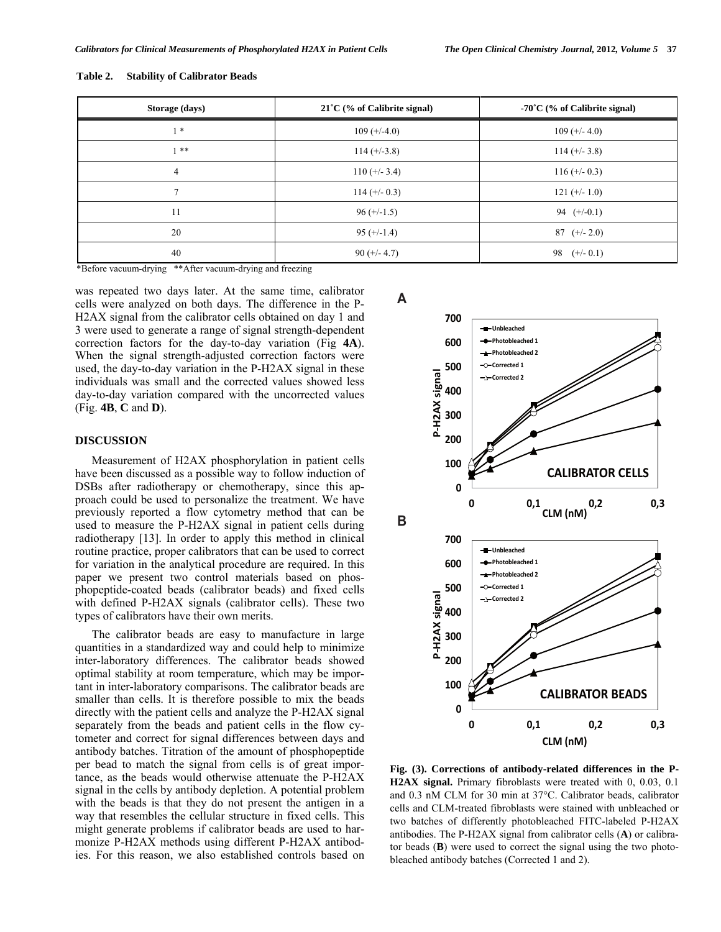| Storage (days) | $21^{\circ}$ C (% of Calibrite signal) | $-70^{\circ}$ C (% of Calibrite signal) |  |
|----------------|----------------------------------------|-----------------------------------------|--|
| $1*$           | $109 (+/-4.0)$                         | $109 (+/- 4.0)$                         |  |
| $1 * *$        | $114 (+-3.8)$                          | $114 (+/- 3.8)$                         |  |
| $\overline{4}$ | $110 (+/- 3.4)$                        | $116 (+/- 0.3)$                         |  |
| $\overline{7}$ | $114 (+-0.3)$                          | $121 (+/- 1.0)$                         |  |
| 11             | $96 (+/-1.5)$                          | 94 $(+/-0.1)$                           |  |
| 20             | $95 (+/-1.4)$                          | $87 (+/- 2.0)$                          |  |
| 40             | $90 (+/- 4.7)$                         | 98 $(+/- 0.1)$                          |  |

#### **Table 2. Stability of Calibrator Beads**

\*Before vacuum-drying \*\*After vacuum-drying and freezing

was repeated two days later. At the same time, calibrator cells were analyzed on both days. The difference in the P-H2AX signal from the calibrator cells obtained on day 1 and 3 were used to generate a range of signal strength-dependent correction factors for the day-to-day variation (Fig **4A**). When the signal strength-adjusted correction factors were used, the day-to-day variation in the P-H2AX signal in these individuals was small and the corrected values showed less day-to-day variation compared with the uncorrected values (Fig. **4B**, **C** and **D**).

# **DISCUSSION**

 Measurement of H2AX phosphorylation in patient cells have been discussed as a possible way to follow induction of DSBs after radiotherapy or chemotherapy, since this approach could be used to personalize the treatment. We have previously reported a flow cytometry method that can be used to measure the P-H2AX signal in patient cells during radiotherapy [13]. In order to apply this method in clinical routine practice, proper calibrators that can be used to correct for variation in the analytical procedure are required. In this paper we present two control materials based on phosphopeptide-coated beads (calibrator beads) and fixed cells with defined P-H2AX signals (calibrator cells). These two types of calibrators have their own merits.

 The calibrator beads are easy to manufacture in large quantities in a standardized way and could help to minimize inter-laboratory differences. The calibrator beads showed optimal stability at room temperature, which may be important in inter-laboratory comparisons. The calibrator beads are smaller than cells. It is therefore possible to mix the beads directly with the patient cells and analyze the P-H2AX signal separately from the beads and patient cells in the flow cytometer and correct for signal differences between days and antibody batches. Titration of the amount of phosphopeptide per bead to match the signal from cells is of great importance, as the beads would otherwise attenuate the P-H2AX signal in the cells by antibody depletion. A potential problem with the beads is that they do not present the antigen in a way that resembles the cellular structure in fixed cells. This might generate problems if calibrator beads are used to harmonize P-H2AX methods using different P-H2AX antibodies. For this reason, we also established controls based on

# **A**



**Fig. (3). Corrections of antibody-related differences in the P-H2AX signal.** Primary fibroblasts were treated with 0, 0.03, 0.1 and 0.3 nM CLM for 30 min at 37°C. Calibrator beads, calibrator cells and CLM-treated fibroblasts were stained with unbleached or two batches of differently photobleached FITC-labeled P-H2AX antibodies. The P-H2AX signal from calibrator cells (**A**) or calibrator beads (**B**) were used to correct the signal using the two photobleached antibody batches (Corrected 1 and 2).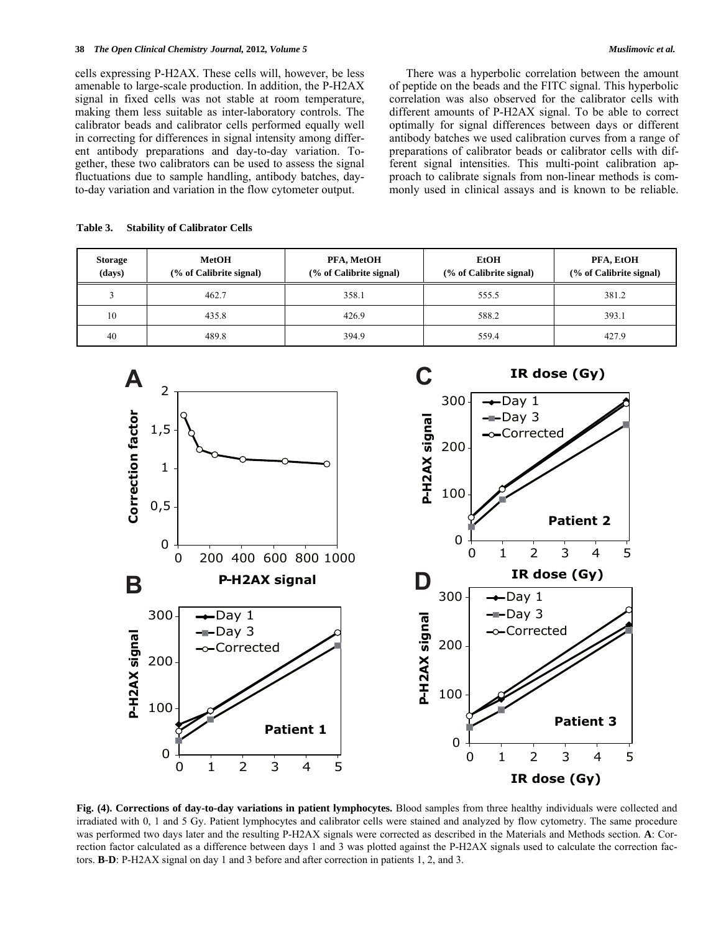cells expressing P-H2AX. These cells will, however, be less amenable to large-scale production. In addition, the P-H2AX signal in fixed cells was not stable at room temperature, making them less suitable as inter-laboratory controls. The calibrator beads and calibrator cells performed equally well in correcting for differences in signal intensity among different antibody preparations and day-to-day variation. Together, these two calibrators can be used to assess the signal fluctuations due to sample handling, antibody batches, dayto-day variation and variation in the flow cytometer output.

 There was a hyperbolic correlation between the amount of peptide on the beads and the FITC signal. This hyperbolic correlation was also observed for the calibrator cells with different amounts of P-H2AX signal. To be able to correct optimally for signal differences between days or different antibody batches we used calibration curves from a range of preparations of calibrator beads or calibrator cells with different signal intensities. This multi-point calibration approach to calibrate signals from non-linear methods is commonly used in clinical assays and is known to be reliable.

**Table 3. Stability of Calibrator Cells** 

| <b>Storage</b><br>(days) | <b>MetOH</b><br>(% of Calibrite signal) | PFA, MetOH<br>(% of Calibrite signal) | <b>EtOH</b><br>(% of Calibrite signal) | PFA, EtOH<br>(% of Calibrite signal) |
|--------------------------|-----------------------------------------|---------------------------------------|----------------------------------------|--------------------------------------|
|                          | 462.7                                   | 358.1                                 | 555.5                                  | 381.2                                |
| 10                       | 435.8                                   | 426.9                                 | 588.2                                  | 393.1                                |
| 40                       | 489.8                                   | 394.9                                 | 559.4                                  | 427.9                                |



**Fig. (4). Corrections of day-to-day variations in patient lymphocytes.** Blood samples from three healthy individuals were collected and irradiated with 0, 1 and 5 Gy. Patient lymphocytes and calibrator cells were stained and analyzed by flow cytometry. The same procedure was performed two days later and the resulting P-H2AX signals were corrected as described in the Materials and Methods section. **A**: Correction factor calculated as a difference between days 1 and 3 was plotted against the P-H2AX signals used to calculate the correction factors. **B**-**D**: P-H2AX signal on day 1 and 3 before and after correction in patients 1, 2, and 3.